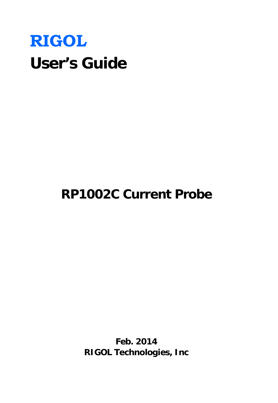# **RIGOL User's Guide**

# **RP1002C Current Probe**

**Feb. 2014 RIGOL Technologies, Inc**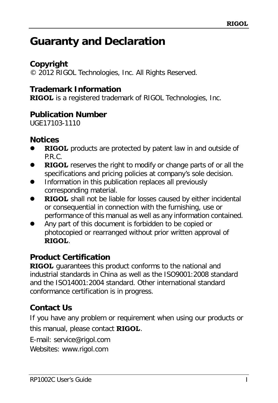# <span id="page-1-0"></span>**Guaranty and Declaration**

# **Copyright**

© 2012 RIGOL Technologies, Inc. All Rights Reserved.

# **Trademark Information**

**RIGOL** is a registered trademark of RIGOL Technologies, Inc.

### **Publication Number**

UGE17103-1110

### **Notices**

- **RIGOL** products are protected by patent law in and outside of P.R.C.
- **RIGOL** reserves the right to modify or change parts of or all the specifications and pricing policies at company's sole decision.
- Information in this publication replaces all previously corresponding material.
- **RIGOL** shall not be liable for losses caused by either incidental or consequential in connection with the furnishing, use or performance of this manual as well as any information contained.
- Any part of this document is forbidden to be copied or photocopied or rearranged without prior written approval of **RIGOL**.

# **Product Certification**

**RIGOL** guarantees this product conforms to the national and industrial standards in China as well as the ISO9001:2008 standard and the ISO14001:2004 standard. Other international standard conformance certification is in progress.

# **Contact Us**

If you have any problem or requirement when using our products or this manual, please contact **RIGOL**.

E-mail: service@rigol.com

Websites: www.rigol.com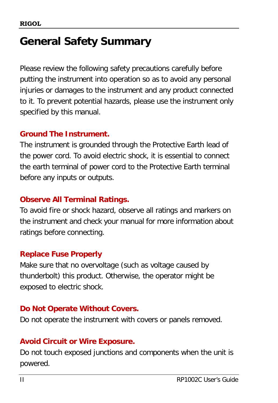# <span id="page-2-0"></span>**General Safety Summary**

Please review the following safety precautions carefully before putting the instrument into operation so as to avoid any personal injuries or damages to the instrument and any product connected to it. To prevent potential hazards, please use the instrument only specified by this manual.

### **Ground The Instrument.**

The instrument is grounded through the Protective Earth lead of the power cord. To avoid electric shock, it is essential to connect the earth terminal of power cord to the Protective Earth terminal before any inputs or outputs.

# **Observe All Terminal Ratings.**

To avoid fire or shock hazard, observe all ratings and markers on the instrument and check your manual for more information about ratings before connecting.

# **Replace Fuse Properly**

Make sure that no overvoltage (such as voltage caused by thunderbolt) this product. Otherwise, the operator might be exposed to electric shock.

# **Do Not Operate Without Covers.**

Do not operate the instrument with covers or panels removed.

# **Avoid Circuit or Wire Exposure.**

Do not touch exposed junctions and components when the unit is powered.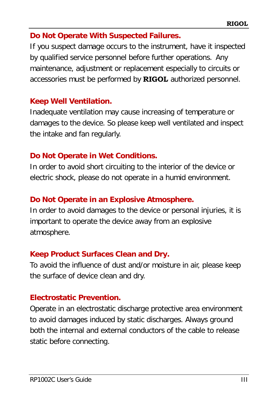### **Do Not Operate With Suspected Failures.**

If you suspect damage occurs to the instrument, have it inspected by qualified service personnel before further operations. Any maintenance, adjustment or replacement especially to circuits or accessories must be performed by **RIGOL** authorized personnel.

### **Keep Well Ventilation.**

Inadequate ventilation may cause increasing of temperature or damages to the device. So please keep well ventilated and inspect the intake and fan regularly.

# **Do Not Operate in Wet Conditions.**

In order to avoid short circuiting to the interior of the device or electric shock, please do not operate in a humid environment.

# **Do Not Operate in an Explosive Atmosphere.**

In order to avoid damages to the device or personal injuries, it is important to operate the device away from an explosive atmosphere.

# **Keep Product Surfaces Clean and Dry.**

To avoid the influence of dust and/or moisture in air, please keep the surface of device clean and dry.

# **Electrostatic Prevention.**

Operate in an electrostatic discharge protective area environment to avoid damages induced by static discharges. Always ground both the internal and external conductors of the cable to release static before connecting.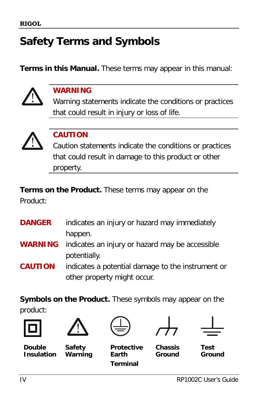# <span id="page-4-0"></span>**Safety Terms and Symbols**

**Terms in this Manual.** These terms may appear in this manual:



### **WARNING**

Warning statements indicate the conditions or practices that could result in injury or loss of life.



### **CAUTION**

Caution statements indicate the conditions or practices that could result in damage to this product or other property.

**Terms on the Product.** These terms may appear on the Product:

| <b>DANGER</b>  | indicates an injury or hazard may immediately                  |
|----------------|----------------------------------------------------------------|
|                | happen.                                                        |
|                | <b>WARNING</b> indicates an injury or hazard may be accessible |
|                | potentially.                                                   |
| <b>CAUTION</b> | indicates a potential damage to the instrument or              |
|                | other property might occur.                                    |

**Symbols on the Product.** These symbols may appear on the product:





**Double Insulation**

**Safety Warning**

**Terminal**





**Protective Earth** 

**Chassis Ground**

**Test Ground**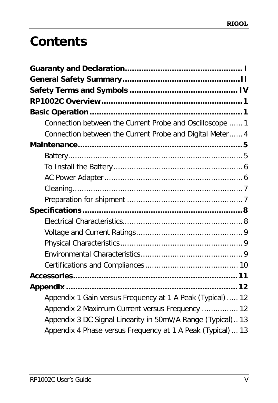# **Contents**

| Connection between the Current Probe and Oscilloscope  1    |
|-------------------------------------------------------------|
| Connection between the Current Probe and Digital Meter 4    |
|                                                             |
|                                                             |
|                                                             |
|                                                             |
|                                                             |
|                                                             |
|                                                             |
|                                                             |
|                                                             |
|                                                             |
|                                                             |
|                                                             |
|                                                             |
|                                                             |
| Appendix 1 Gain versus Frequency at 1 A Peak (Typical)  12  |
| Appendix 2 Maximum Current versus Frequency  12             |
| Appendix 3 DC Signal Linearity in 50mV/A Range (Typical) 13 |
| Appendix 4 Phase versus Frequency at 1 A Peak (Typical) 13  |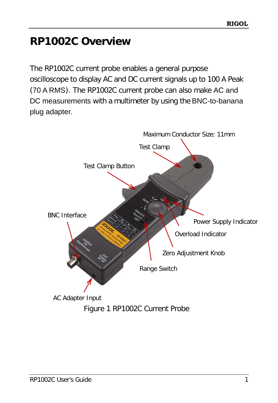# <span id="page-7-0"></span>**RP1002C Overview**

The RP1002C current probe enables a general purpose oscilloscope to display AC and DC current signals up to 100 A Peak (70 A RMS). The RP1002C current probe can also make AC and DC measurements with a multimeter by using the BNC-to-banana plug adapter.

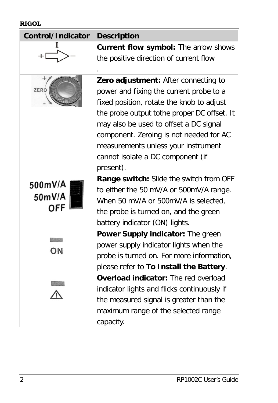#### **RIGOL**

| Control/Indicator | <b>Description</b>                          |
|-------------------|---------------------------------------------|
|                   | Current flow symbol: The arrow shows        |
|                   | the positive direction of current flow      |
|                   |                                             |
|                   | Zero adjustment: After connecting to        |
| ZERO              | power and fixing the current probe to a     |
|                   | fixed position, rotate the knob to adjust   |
|                   | the probe output tothe proper DC offset. It |
|                   | may also be used to offset a DC signal      |
|                   | component. Zeroing is not needed for AC     |
|                   | measurements unless your instrument         |
|                   | cannot isolate a DC component (if           |
|                   | present).                                   |
|                   | Range switch: Slide the switch from OFF     |
| 500mV/A           | to either the 50 mV/A or 500mV/A range.     |
| 50mV/A            | When 50 mV/A or 500mV/A is selected,        |
| OFF               | the probe is turned on, and the green       |
|                   | battery indicator (ON) lights.              |
|                   | Power Supply indicator: The green           |
|                   | power supply indicator lights when the      |
| ON                | probe is turned on. For more information,   |
|                   | please refer to To Install the Battery.     |
|                   | Overload indicator: The red overload        |
|                   | indicator lights and flicks continuously if |
|                   | the measured signal is greater than the     |
|                   | maximum range of the selected range         |
|                   | capacity.                                   |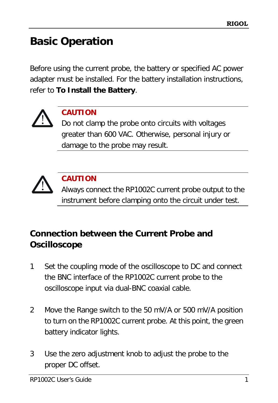# <span id="page-9-0"></span>**Basic Operation**

Before using the current probe, the battery or specified AC power adapter must be installed. For the battery installation instructions, refer to **[To Install the Battery](#page-14-0)**.

![](_page_9_Picture_3.jpeg)

# **CAUTION**

Do not clamp the probe onto circuits with voltages greater than 600 VAC. Otherwise, personal injury or damage to the probe may result.

![](_page_9_Picture_6.jpeg)

# **CAUTION**

Always connect the RP1002C current probe output to the instrument before clamping onto the circuit under test.

# <span id="page-9-1"></span>**Connection between the Current Probe and Oscilloscope**

- 1 Set the coupling mode of the oscilloscope to DC and connect the BNC interface of the RP1002C current probe to the oscilloscope input via dual-BNC coaxial cable.
- 2 Move the Range switch to the 50 mV/A or 500 mV/A position to turn on the RP1002C current probe. At this point, the green battery indicator lights.
- 3 Use the zero adjustment knob to adjust the probe to the proper DC offset.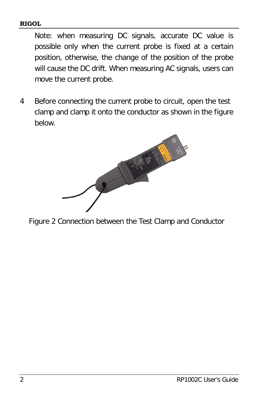#### **RIGOL**

Note: when measuring DC signals, accurate DC value is possible only when the current probe is fixed at a certain position, otherwise, the change of the position of the probe will cause the DC drift. When measuring AC signals, users can move the current probe.

4 Before connecting the current probe to circuit, open the test clamp and clamp it onto the conductor as shown in the figure below.

![](_page_10_Picture_3.jpeg)

Figure 2 Connection between the Test Clamp and Conductor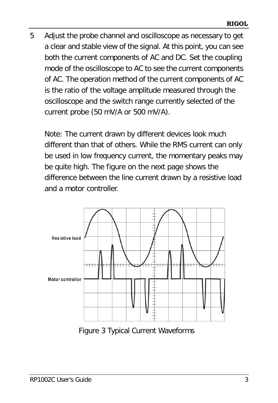5 Adjust the probe channel and oscilloscope as necessary to get a clear and stable view of the signal. At this point, you can see both the current components of AC and DC. Set the coupling mode of the oscilloscope to AC to see the current components of AC. The operation method of the current components of AC is the ratio of the voltage amplitude measured through the oscilloscope and the switch range currently selected of the current probe (50 mV/A or 500 mV/A).

Note: The current drawn by different devices look much different than that of others. While the RMS current can only be used in low frequency current, the momentary peaks may be quite high. The figure on the next page shows the difference between the line current drawn by a resistive load and a motor controller.

![](_page_11_Figure_3.jpeg)

Figure 3 Typical Current Waveforms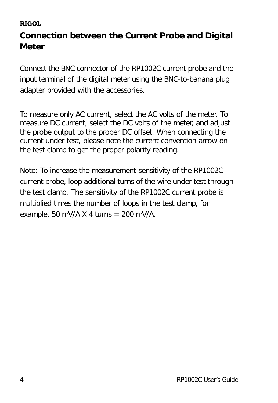# <span id="page-12-0"></span>**Connection between the Current Probe and Digital Meter**

Connect the BNC connector of the RP1002C current probe and the input terminal of the digital meter using the BNC-to-banana plug adapter provided with the accessories.

To measure only AC current, select the AC volts of the meter. To measure DC current, select the DC volts of the meter, and adjust the probe output to the proper DC offset. When connecting the current under test, please note the current convention arrow on the test clamp to get the proper polarity reading.

Note: To increase the measurement sensitivity of the RP1002C current probe, loop additional turns of the wire under test through the test clamp. The sensitivity of the RP1002C current probe is multiplied times the number of loops in the test clamp, for example, 50 mV/A  $X$  4 turns = 200 mV/A.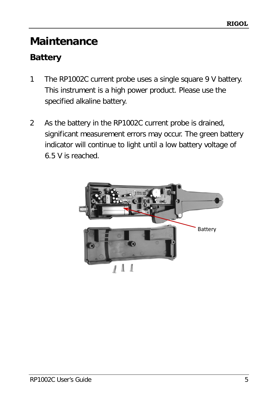# <span id="page-13-0"></span>**Maintenance**

# <span id="page-13-1"></span>**Battery**

- 1 The RP1002C current probe uses a single square 9 V battery. This instrument is a high power product. Please use the specified alkaline battery.
- 2 As the battery in the RP1002C current probe is drained, significant measurement errors may occur. The green battery indicator will continue to light until a low battery voltage of 6.5 V is reached.

![](_page_13_Picture_5.jpeg)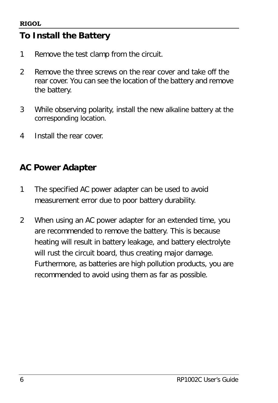# <span id="page-14-0"></span>**To Install the Battery**

- 1 Remove the test clamp from the circuit.
- 2 Remove the three screws on the rear cover and take off the rear cover. You can see the location of the battery and remove the battery.
- 3 While observing polarity, install the new alkaline battery at the corresponding location.
- 4 Install the rear cover.

# <span id="page-14-1"></span>**AC Power Adapter**

- 1 The specified AC power adapter can be used to avoid measurement error due to poor battery durability.
- 2 When using an AC power adapter for an extended time, you are recommended to remove the battery. This is because heating will result in battery leakage, and battery electrolyte will rust the circuit board, thus creating major damage. Furthermore, as batteries are high pollution products, you are recommended to avoid using them as far as possible.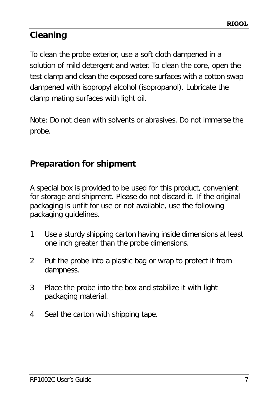# <span id="page-15-0"></span>**Cleaning**

To clean the probe exterior, use a soft cloth dampened in a solution of mild detergent and water. To clean the core, open the test clamp and clean the exposed core surfaces with a cotton swap dampened with isopropyl alcohol (isopropanol). Lubricate the clamp mating surfaces with light oil.

Note: Do not clean with solvents or abrasives. Do not immerse the probe.

# <span id="page-15-1"></span>**Preparation for shipment**

A special box is provided to be used for this product, convenient for storage and shipment. Please do not discard it. If the original packaging is unfit for use or not available, use the following packaging guidelines.

- 1 Use a sturdy shipping carton having inside dimensions at least one inch greater than the probe dimensions.
- 2 Put the probe into a plastic bag or wrap to protect it from dampness.
- 3 Place the probe into the box and stabilize it with light packaging material.
- 4 Seal the carton with shipping tape.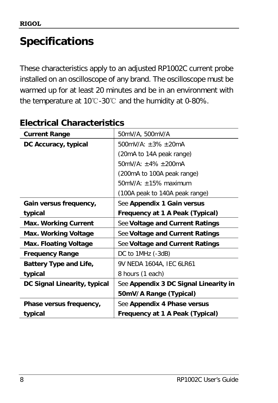# <span id="page-16-0"></span>**Specifications**

These characteristics apply to an adjusted RP1002C current probe installed on an oscilloscope of any brand. The oscilloscope must be warmed up for at least 20 minutes and be in an environment with the temperature at 10℃-30℃ and the humidity at 0-80%.

| <b>Current Range</b>          | 50mV/A, 500mV/A                       |
|-------------------------------|---------------------------------------|
| DC Accuracy, typical          | $500mV/A: +3\% +20mA$                 |
|                               | (20mA to 14A peak range)              |
|                               | 50mV/A: $\pm$ 4% $\pm$ 200mA          |
|                               | (200mA to 100A peak range)            |
|                               | $50mV/A: \pm 15\%$ maximum            |
|                               | (100A peak to 140A peak range)        |
| Gain versus frequency,        | See Appendix 1 Gain versus            |
| typical                       | Frequency at 1 A Peak (Typical)       |
| <b>Max. Working Current</b>   | See Voltage and Current Ratings       |
| Max. Working Voltage          | See Voltage and Current Ratings       |
| <b>Max. Floating Voltage</b>  | See Voltage and Current Ratings       |
| <b>Frequency Range</b>        | DC to 1MHz (-3dB)                     |
| <b>Battery Type and Life,</b> | 9V NEDA 1604A, IEC 6LR61              |
| typical                       | 8 hours (1 each)                      |
| DC Signal Linearity, typical  | See Appendix 3 DC Signal Linearity in |
|                               | 50mV/A Range (Typical)                |
| Phase versus frequency,       | See Appendix 4 Phase versus           |
| typical                       | Frequency at 1 A Peak (Typical)       |

# <span id="page-16-1"></span>**Electrical Characteristics**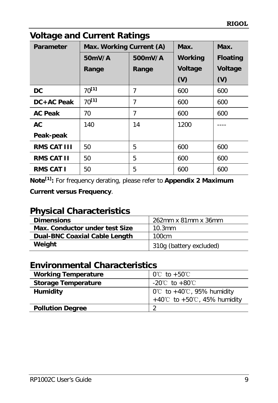| VOITAGE AND CUITENT NATINGS |                          |         |         |                 |
|-----------------------------|--------------------------|---------|---------|-----------------|
| <b>Parameter</b>            | Max. Working Current (A) |         | Max.    | Max.            |
|                             | 50mV/A                   | 500mV/A | Working | <b>Floating</b> |
|                             | Range                    | Range   | Voltage | Voltage         |
|                             |                          |         | (V)     | (V)             |
| <b>DC</b>                   | $70^{[1]}$               | 7       | 600     | 600             |
| DC+AC Peak                  | $70^{[1]}$               | 7       | 600     | 600             |
| <b>AC Peak</b>              | 70                       | 7       | 600     | 600             |
| <b>AC</b>                   | 140                      | 14      | 1200    |                 |
| Peak-peak                   |                          |         |         |                 |
| <b>RMS CAT III</b>          | 50                       | 5       | 600     | 600             |
| <b>RMS CAT II</b>           | 50                       | 5       | 600     | 600             |
| <b>RMS CAT I</b>            | 50                       | 5       | 600     | 600             |

# <span id="page-17-0"></span>**Voltage and Current Ratings**

**Note[1]:** For frequency derating, please refer to **[Appendix 2 Maximum](#page-20-2)** 

**[Current versus Frequency](#page-20-2)**.

# <span id="page-17-1"></span>**Physical Characteristics**

| <b>Dimensions</b>                    | 262mm x 81mm x 36mm     |
|--------------------------------------|-------------------------|
| Max. Conductor under test Size       | $10.3$ mm               |
| <b>Dual-BNC Coaxial Cable Length</b> | 100cm                   |
| Weight                               | 310g (battery excluded) |

# <span id="page-17-2"></span>**Environmental Characteristics**

| <b>Working Temperature</b> | $0^{\circ}$ to +50 $^{\circ}$ C               |
|----------------------------|-----------------------------------------------|
| <b>Storage Temperature</b> | $-20^{\circ}$ C to $+80^{\circ}$ C            |
| <b>Humidity</b>            | $0^{\circ}$ to +40 $^{\circ}$ C, 95% humidity |
|                            | +40°C to +50°C, 45% humidity                  |
| <b>Pollution Degree</b>    | ി                                             |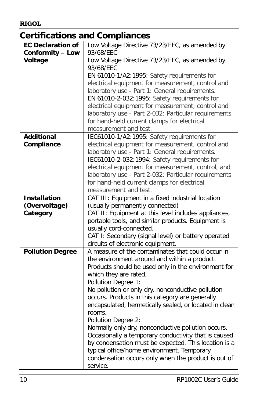# <span id="page-18-0"></span>**Certifications and Compliances**

| <b>EC Declaration of</b> | Low Voltage Directive 73/23/EEC, as amended by              |
|--------------------------|-------------------------------------------------------------|
| <b>Conformity - Low</b>  | 93/68/EEC                                                   |
| Voltage                  | Low Voltage Directive 73/23/EEC, as amended by<br>93/68/EEC |
|                          | EN 61010-1/A2:1995: Safety requirements for                 |
|                          | electrical equipment for measurement, control and           |
|                          | laboratory use - Part 1: General requirements.              |
|                          | EN 61010-2-032:1995: Safety requirements for                |
|                          | electrical equipment for measurement, control and           |
|                          | laboratory use - Part 2-032: Particular requirements        |
|                          | for hand-held current clamps for electrical                 |
|                          | measurement and test.                                       |
| <b>Additional</b>        | IEC61010-1/A2:1995: Safety requirements for                 |
| Compliance               | electrical equipment for measurement, control and           |
|                          | laboratory use - Part 1: General requirements.              |
|                          | IEC61010-2-032:1994: Safety requirements for                |
|                          | electrical equipment for measurement, control, and          |
|                          | laboratory use - Part 2-032: Particular requirements        |
|                          | for hand-held current clamps for electrical                 |
|                          | measurement and test.                                       |
| <b>Installation</b>      | CAT III: Equipment in a fixed industrial location           |
| (Overvoltage)            | (usually permanently connected)                             |
| Category                 | CAT II: Equipment at this level includes appliances,        |
|                          | portable tools, and similar products. Equipment is          |
|                          | usually cord-connected.                                     |
|                          | CAT I: Secondary (signal level) or battery operated         |
|                          | circuits of electronic equipment.                           |
| <b>Pollution Degree</b>  | A measure of the contaminates that could occur in           |
|                          | the environment around and within a product.                |
|                          | Products should be used only in the environment for         |
|                          | which they are rated.                                       |
|                          | Pollution Degree 1:                                         |
|                          | No pollution or only dry, nonconductive pollution           |
|                          | occurs. Products in this category are generally             |
|                          | encapsulated, hermetically sealed, or located in clean      |
|                          | rooms.                                                      |
|                          | Pollution Degree 2:                                         |
|                          | Normally only dry, nonconductive pollution occurs.          |
|                          | Occasionally a temporary conductivity that is caused        |
|                          | by condensation must be expected. This location is a        |
|                          | typical office/home environment. Temporary                  |
|                          | condensation occurs only when the product is out of         |
|                          | service.                                                    |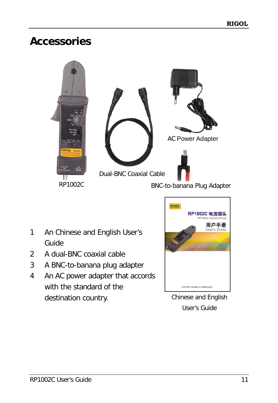# <span id="page-19-0"></span>**Accessories**

![](_page_19_Picture_2.jpeg)

- 1 An Chinese and English User's Guide
- 2 A dual-BNC coaxial cable
- 3 A BNC-to-banana plug adapter
- 4 An AC power adapter that accords with the standard of the destination country.

![](_page_19_Picture_7.jpeg)

Chinese and English User's Guide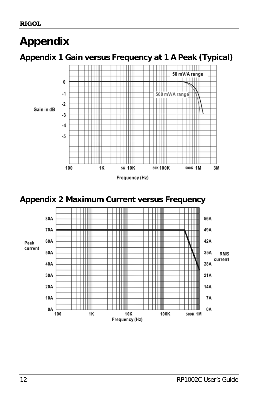# <span id="page-20-0"></span>**Appendix**

# <span id="page-20-1"></span>**Appendix 1 Gain versus Frequency at 1 A Peak (Typical)**

![](_page_20_Figure_3.jpeg)

<span id="page-20-2"></span>![](_page_20_Figure_4.jpeg)

![](_page_20_Figure_5.jpeg)